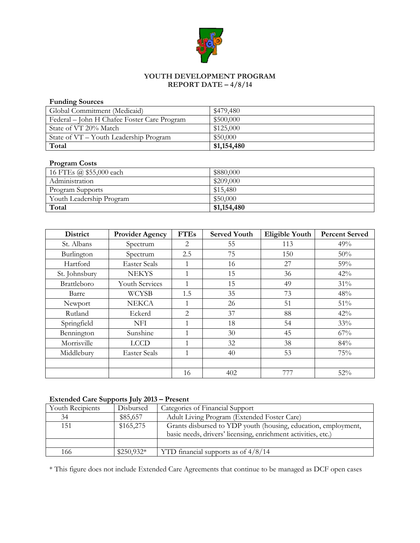

# **YOUTH DEVELOPMENT PROGRAM REPORT DATE – 4/8/14**

## **Funding Sources**

| Global Commitment (Medicaid)                | \$479,480   |
|---------------------------------------------|-------------|
| Federal – John H Chafee Foster Care Program | \$500,000   |
| State of VT 20% Match                       | \$125,000   |
| State of VT – Youth Leadership Program      | \$50,000    |
| Total                                       | \$1,154,480 |

# **Program Costs**

| 16 FTEs @ \$55,000 each  | \$880,000   |
|--------------------------|-------------|
| Administration           | \$209,000   |
| Program Supports         | \$15,480    |
| Youth Leadership Program | \$50,000    |
| Total                    | \$1,154,480 |

| <b>District</b> | <b>Provider Agency</b> | <b>FTEs</b>    | <b>Served Youth</b> | Eligible Youth | <b>Percent Served</b> |
|-----------------|------------------------|----------------|---------------------|----------------|-----------------------|
| St. Albans      | Spectrum               | 2              | 55                  | 113            | 49%                   |
| Burlington      | Spectrum               | 2.5            | 75                  | 150            | 50%                   |
| Hartford        | <b>Easter Seals</b>    | 1              | 16                  | 27             | 59%                   |
| St. Johnsbury   | <b>NEKYS</b>           | 1              | 15                  | 36             | 42%                   |
| Brattleboro     | <b>Youth Services</b>  | 1              | 15                  | 49             | 31%                   |
| Barre           | <b>WCYSB</b>           | 1.5            | 35                  | 73             | 48%                   |
| Newport         | <b>NEKCA</b>           | $\mathbf{1}$   | 26                  | 51             | 51%                   |
| Rutland         | Eckerd                 | $\overline{2}$ | 37                  | 88             | 42%                   |
| Springfield     | <b>NFI</b>             | 1              | 18                  | 54             | 33%                   |
| Bennington      | Sunshine               | 1              | 30                  | 45             | 67%                   |
| Morrisville     | <b>LCCD</b>            | 1              | 32                  | 38             | 84%                   |
| Middlebury      | <b>Easter Seals</b>    | 1              | 40                  | 53             | 75%                   |
|                 |                        |                |                     |                |                       |
|                 |                        | 16             | 402                 | 777            | 52%                   |

## **Extended Care Supports July 2013 – Present**

| Youth Recipients | Disbursed   | Categories of Financial Support                                |
|------------------|-------------|----------------------------------------------------------------|
| 34               | \$85,657    | Adult Living Program (Extended Foster Care)                    |
| 151              | \$165,275   | Grants disbursed to YDP youth (housing, education, employment, |
|                  |             | basic needs, drivers' licensing, enrichment activities, etc.)  |
|                  |             |                                                                |
| 166              | $$250,932*$ | YTD financial supports as of $4/8/14$                          |

\* This figure does not include Extended Care Agreements that continue to be managed as DCF open cases